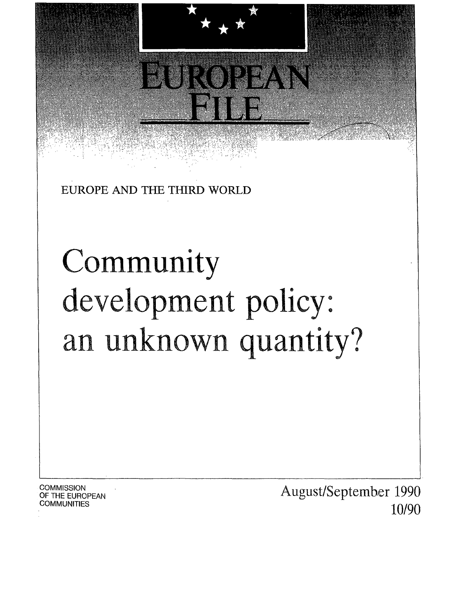

EUROPE AND THE THIRD WORLD

# Community development policy: an unknown quantity?

**COMMISSION** OF THE EUROPEAN **COMMUNITIES** 

August/September 1990 10/90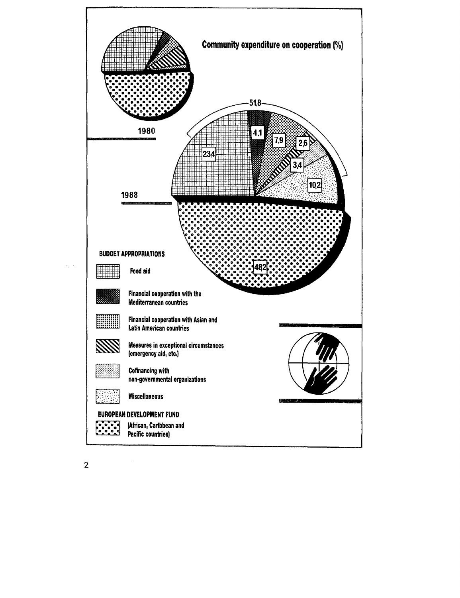

 $\mathcal{L}_{\mathcal{A}}$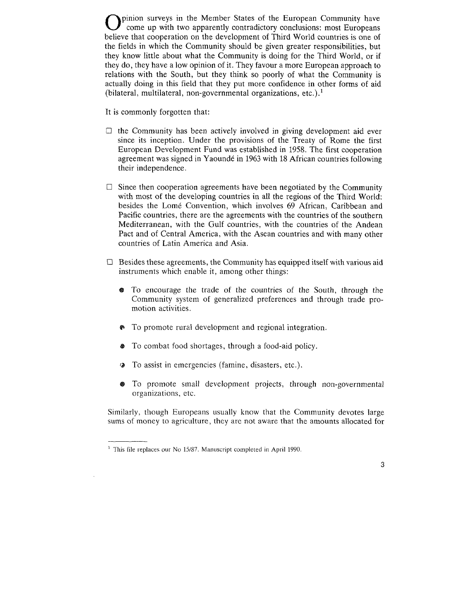pinion surveys in the Member States of the European Community have come up with two apparently contradictory conclusions: most Europeans believe that cooperation on the development of Third World countries is one of the fields in which the Community should be given greater responsibilities, but they know little about what the Community is doing for the Third World, or if they do, they have a low opinion of it. They favour a more European approach to relations with the South, but they think so poorly of what the Community is actually doing in this field that they put more confidence in other forms of aid (bilateral, multilateral, non-governmental organizations, etc.).<sup>1</sup>

It is commonly forgotten that:

- $\Box$  the Community has been actively involved in giving development aid ever since its inception. Under the provisions of the Treaty of Rome the first European Development Fund was established in 1958. The first cooperation agreement was signed in Yaounde in 1963 with 18 African countries following their independence.
- $\Box$  Since then cooperation agreements have been negotiated by the Community with most of the developing countries in all the regions of the Third World: besides the Lomé Convention, which involves 69 African, Caribbean and Pacific countries, there are the agreements with the countries of the southern Mediterranean, with the Gulf countries, with the countries of the Andean Pact and of Central America, with the Asean countries and with many other countries of Latin America and Asia.
- $\Box$  Besides these agreements, the Community has equipped itself with various aid instruments which enable it, among other things:
	- e To encourage the trade of the countries of the South, through the Community system of generalized preferences and through trade promotion activities.
	- To promote rural development and regional integration.
	- To combat food shortages, through a food-aid policy.
	- To assist in emergencies (famine, disasters, etc.).
	- @ To promote small development projects, through non-governmental organizations, etc.

Similarly, though Europeans usually know that the Community devotes large sums of money to agriculture, they are not aware that the amounts allocated for

 $<sup>1</sup>$  This file replaces our No 15/87. Manuscript completed in April 1990.</sup>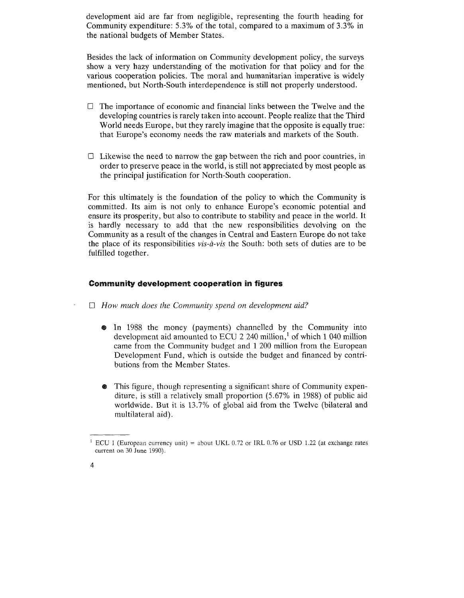development aid are far from negligible, representing the fourth heading for Community expenditure: 5.3% of the total, compared to a maximum of 3.3% in the national budgets of Member States.

Besides the lack of information on Community development policy, the surveys show a very hazy understanding of the motivation for that policy and for the various cooperation policies. The moral and humanitarian imperative is widely mentioned, but North-South interdependence is still not properly understood.

- $\Box$  The importance of economic and financial links between the Twelve and the developing countries is rarely taken into account. People realize that the Third World needs Europe, but they rarely imagine that the opposite is equally true: that Europe's economy needs the raw materials and markets of the South.
- $\Box$  Likewise the need to narrow the gap between the rich and poor countries, in order to preserve peace in the world, is still not appreciated by most people as the principal justification for North-South cooperation.

For this ultimately is the foundation of the policy to which the Community is committed. Its aim is not only to enhance Europe's economic potential and ensure its prosperity, but also to contribute to stability and peace in the world. It is hardly necessary to add that the new responsibilities devolving on the Community as a result of the changes in Central and Eastern Europe do not take the place of its responsibilities *vis-a-vis* the South: both sets of duties are to be fulfilled together.

# **Community development cooperation in figures**

- 0 *How much does the Community spend on development aid?* 
	- e In 1988 the money (payments) channelled by the Community into development aid amounted to ECU 2 240 million,<sup>1</sup> of which 1 040 million came from the Community budget and 1 200 million from the European Development Fund, which is outside the budget and financed by contributions from the Member States.
	- This figure, though representing a significant share of Community expenditure, is still a relatively small proportion (5.67% in 1988) of public aid worldwide. But it is 13.7% of global aid from the Twelve (bilateral and multilateral aid).

<sup>&</sup>lt;sup>1</sup> ECU 1 (European currency unit) = about UKL 0.72 or IRL 0.76 or USD 1.22 (at exchange rates current on 30 June 1990).

<sup>4</sup>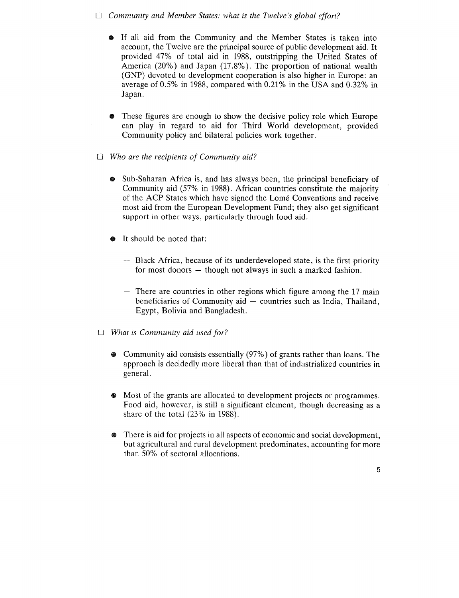# □ *Community and Member States: what is the Twelve's global effort?*

- e If all aid from the Community and the Member States is taken into account, the Twelve are the principal source of public development aid. It provided 47% of total aid in 1988, outstripping the United States of America (20%) and Japan (17 .8%). The proportion of national wealth (GNP) devoted to development cooperation is also higher in Europe: an average of 0.5% in 1988, compared with 0.21% in the USA and 0.32% in Japan.
- e These figures are enough to show the decisive policy role which Europe can play in regard to aid for Third World development, provided Community policy and bilateral policies work together.
- 0 *Who are the recipients of Community aid?* 
	- e Sub-Saharan Africa is, and has always been, the principal beneficiary of Community aid (57% in 1988). African countries constitute the majority of the ACP States which have signed the Lome Conventions and receive most aid from the European Development Fund; they also get significant support in other ways, particularly through food aid.
	- It should be noted that:
		- Black Africa, because of its underdeveloped state, is the first priority for most donors  $-$  though not always in such a marked fashion.
		- There are countries in other regions which figure among the 17 main beneficiaries of Community  $aid -$  countries such as India, Thailand, Egypt, Bolivia and Bangladesh.
- 0 *What is Community aid used for?* 
	- e Community aid consists essentially (97%) of grants rather than loans. The approach is decidedly more liberal than that of indastrialized countries in general.
	- Most of the grants are allocated to development projects or programmes. Food aid, however, is still a significant element, though decreasing as a share of the total (23% in 1988).
	- There is aid for projects in all aspects of economic and social development, but agricultural and rural development predominates, accounting for more than 50% of sectoral allocations.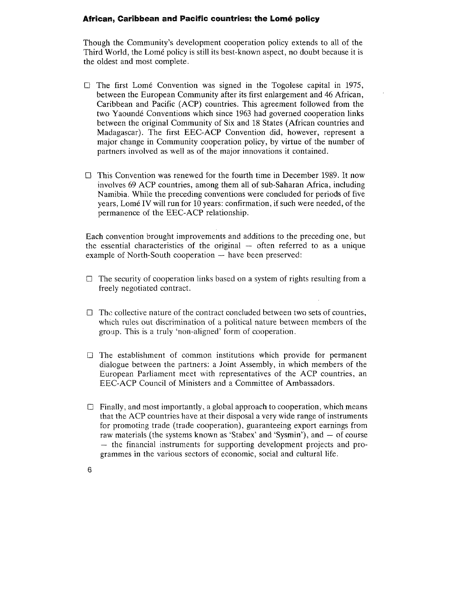# **African, Caribbean and Pacific countries: the lome policy**

Though the Community's development cooperation policy extends to all of the Third World, the Lomé policy is still its best-known aspect, no doubt because it is the oldest and most complete.

- $\Box$  The first Lome Convention was signed in the Togolese capital in 1975, between the European Community after its first enlargement and 46 African, Caribbean and Pacific (ACP) countries. This agreement followed from the two Yaounde Conventions which since 1963 had governed cooperation links between the original Community of Six and 18 States (African countries and Madagascar). The first EEC-ACP Convention did, however, represent a major change in Community cooperation policy, by virtue of the number of partners involved as well as of the major innovations it contained.
- $\Box$  This Convention was renewed for the fourth time in December 1989. It now involves 69 ACP countries, among them all of sub-Saharan Africa, including Namibia. While the preceding conventions were concluded for periods of five years, Lome IV will run for 10 years: confirmation, if such were needed, of the permanence of the EEC-ACP relationship.

Each convention brought improvements and additions to the preceding one, but the essential characteristics of the original  $-$  often referred to as a unique example of North-South cooperation  $-$  have been preserved:

- $\Box$  The security of cooperation links based on a system of rights resulting from a freely negotiated contract.
- $\Box$  The collective nature of the contract concluded between two sets of countries, which rules out discrimination of a political nature between members of the group. This is a truly 'non-aligned' form of cooperation.
- $\Box$  The establishment of common institutions which provide for permanent dialogue between the partners: a Joint Assembly, in which members of the European Parliament meet with representatives of the ACP countries, an EEC-ACP Council of Ministers and a Committee of Ambassadors.
- $\Box$  Finally, and most importantly, a global approach to cooperation, which means that the ACP countries have at their disposal a very wide range of instruments for promoting trade (trade cooperation), guaranteeing export earnings from raw materials (the systems known as 'Stabex' and 'Sysmin'), and  $-$  of course - the financial instruments for supporting development projects and programmes in the various sectors of economic, social and cultural life.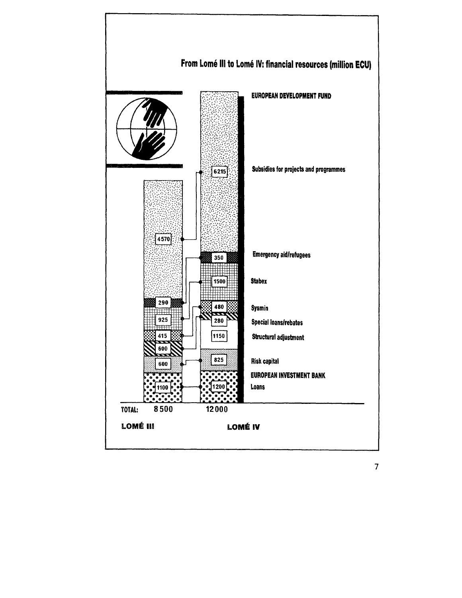

7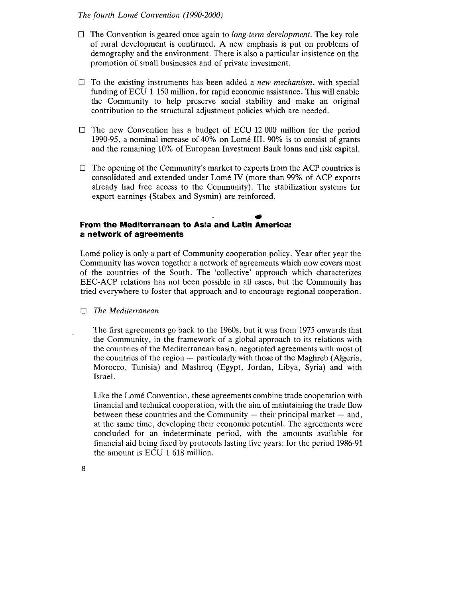#### *The fourth Lome Convention (1990-2000)*

- D The Convention is geared once again to *long-term development.* The key role of rural development is confirmed. A new emphasis is put on problems of demography and the environment. There is also a particular insistence on the promotion of small businesses and of private investment.
- D To the existing instruments has been added a *new mechanism,* with special funding of ECU 1 150 million, for rapid economic assistance. This will enable the Community to help preserve social stability and make an original contribution to the structural adjustment policies which are needed.
- $\square$  The new Convention has a budget of ECU 12 000 million for the period 1990-95, a nominal increase of 40% on Lome III. 90% is to consist of grants and the remaining 10% of European Investment Bank loans and risk capital.
- $\Box$  The opening of the Community's market to exports from the ACP countries is consolidated and extended under Lome IV (more than 99% of ACP exports already had free access to the Community). The stabilization systems for export earnings (Stabex and Sysmin) are reinforced.

# • **From the Mediterranean to Asia and Latin America: a network of agreements**

Lome policy is only a part of Community cooperation policy. Year after year the Community has woven together a network of agreements which now covers most of the countries of the South. The 'collective' approach which characterizes EEC-ACP relations has not been possible in all cases, but the Community has tried everywhere to foster that approach and to encourage regional cooperation.

D *The Mediterranean* 

The first agreements go back to the 1960s, but it was from 1975 onwards that the Community, in the framework of a global approach to its relations with the countries of the Mediterranean basin, negotiated agreements with most of the countries of the region  $-$  particularly with those of the Maghreb (Algeria, Morocco, Tunisia) and Mashreq (Egypt, Jordan, Libya, Syria) and with Israel.

Like the Lomé Convention, these agreements combine trade cooperation with financial and technical cooperation, with the aim of maintaining the trade flow between these countries and the Community  $-$  their principal market  $-$  and, at the same time, developing their economic potential. The agreements were concluded for an indeterminate period, with the amounts available for financial aid being fixed by protocols lasting five years: for the period 1986-91 the amount is ECU 1 618 million.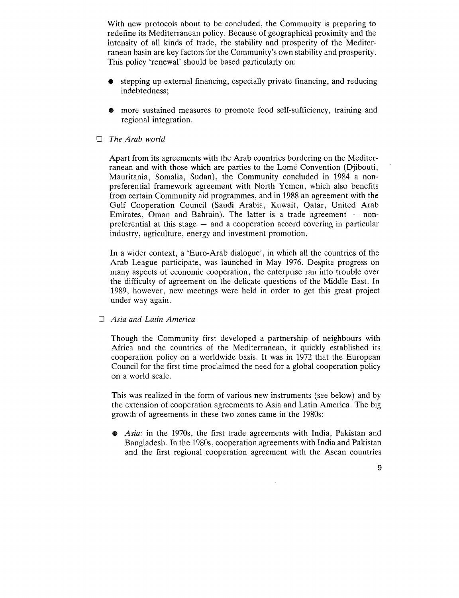With new protocols about to be concluded, the Community is preparing to redefine its Mediterranean policy. Because of geographical proximity and the intensity of all kinds of trade, the stability and prosperity of the Mediterranean basin are key factors for the Community's own stability and prosperity. This policy 'renewal' should be based particularly on:

- stepping up external financing, especially private financing, and reducing indebtedness;
- more sustained measures to promote food self-sufficiency, training and regional integration.

# 0 *The Arab world*

Apart from its agreements with the Arab countries bordering on the Mediterranean and with those which are parties to the Lome Convention (Djibouti, Mauritania, Somalia, Sudan), the Community concluded in 1984 a nonpreferential framework agreement with North Yemen, which also benefits from certain Community aid programmes, and in 1988 an agreement with the Gulf Cooperation Council (Saudi Arabia, Kuwait, Qatar, United Arab Emirates, Oman and Bahrain). The latter is a trade agreement  $-$  nonpreferential at this stage  $-$  and a cooperation accord covering in particular industry, agriculture, energy and investment promotion.

In a wider context, a 'Euro-Arab dialogue', in which all the countries of the Arab League participate, was launched in May 1976. Despite progress on many aspects of economic cooperation, the enterprise ran into trouble over the difficulty of agreement on the delicate questions of the Middle East. In 1989, however, new meetings were held in order to get this great project under way again.

#### 0 *Asia and Latin America*

Though the Community first developed a partnership of neighbours with Africa and the countries of the Mediterranean, it quickly established its cooperation policy on a worldwide basis. It was in 1972 that the European Council for the first time proclaimed the need for a global cooperation policy on a world scale.

This was realized in the form of various new instruments (see below) and by the extension of cooperation agreements to Asia and Latin America. The big growth of agreements in these two zones came in the 1980s:

m *Asia:* in the 1970s, the first trade agreements with India, Pakistan and Bangladesh. In the 1980s, cooperation agreements with India and Pakistan and the first regional cooperation agreement with the Asean countries

9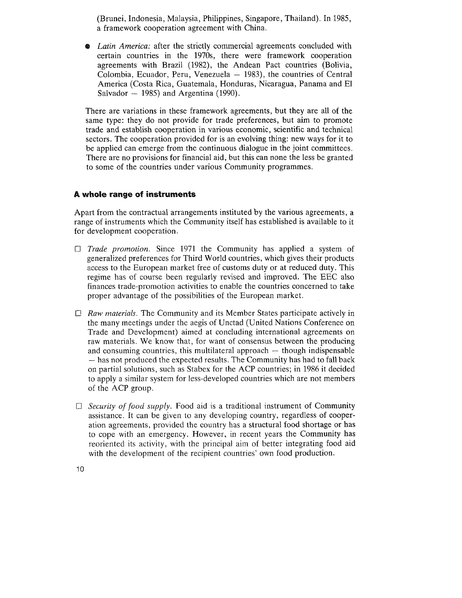(Brunei, Indonesia, Malaysia, Philippines, Singapore, Thailand). In 1985, a framework cooperation agreement with China.

Latin America: after the strictly commercial agreements concluded with certain countries in the 1970s, there were framework cooperation agreements with Brazil (1982), the Andean Pact countries (Bolivia, Colombia, Ecuador, Peru, Venezuela  $-$  1983), the countries of Central America (Costa Rica, Guatemala, Honduras, Nicaragua, Panama and El Salvador  $-$  1985) and Argentina (1990).

There are variations in these framework agreements, but they are all of the same type: they do not provide for trade preferences, but aim to promote trade and establish cooperation in various economic, scientific and technical sectors. The cooperation provided for is an evolving thing: new ways for it to be applied can emerge from the continuous dialogue in the joint committees. There are no provisions for financial aid, but this can none the less be granted to some of the countries under various Community programmes.

# **A whole range of instruments**

Apart from the contractual arrangements instituted by the various agreements, a range of instruments which the Community itself has established is available to it for development cooperation.

- 0 *Trade promotion.* Since 1971 the Community has applied a system of generalized preferences for Third World countries, which gives their products access to the European market free of customs duty or at reduced duty. This regime has of course been regularly revised and improved. The EEC also finances trade-promotion activities to enable the countries concerned to take proper advantage of the possibilities of the European market.
- 0 *Raw materials.* The Community and its Member States participate actively in the many meetings under the aegis of Unctad (United Nations Conference on Trade and Development) aimed at concluding international agreements on raw materials. We know that, for want of consensus between the producing and consuming countries, this multilateral approach  $-$  though indispensable  $-$  has not produced the expected results. The Community has had to fall back on partial solutions, such as Stabex for the ACP countries; in 1986 it decided to apply a similar system for less-developed countries which are not members of the ACP group.
- $\Box$  *Security of food supply.* Food aid is a traditional instrument of Community assistance. It can be given to any developing country, regardless of cooperation agreements, provided the country has a structural food shortage or has to cope with an emergency. However, in recent years the Community has reoriented its activity, with the principal aim of better integrating food aid with the development of the recipient countries' own food production.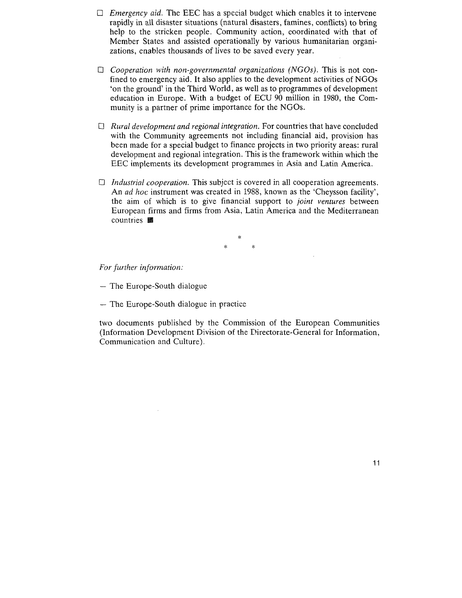- $\Box$  *Emergency aid.* The EEC has a special budget which enables it to intervene rapidly in all disaster situations (natural disasters, famines, conflicts) to bring help to the stricken people. Community action, coordinated with that of Member States and assisted operationally by various humanitarian organizations, enables thousands of lives to be saved every year.
- $\Box$  *Cooperation with non-governmental organizations (NGOs)*. This is not confined to emergency aid. It also applies to the development activities of NGOs 'on the ground' in the Third World, as well as to programmes of development education in Europe. With a budget of ECU 90 million in 1980, the Community is a partner of prime importance for the NGOs.
- 0 *Rural development and regional integration.* For countries that have concluded with the Community agreements not including financial aid, provision has been made for a special budget to finance projects in two priority areas: rural development and regional integration. This is the framework within which the EEC implements its development programmes in Asia and Latin America.
- 0 *Industrial cooperation.* This subject is covered in all cooperation agreements. An *ad hoc* instrument was created in 1988, known as the 'Cheysson facility', the aim of which is to give financial support to *joint ventures* between European firms and firms from Asia, Latin America and the Mediterranean countries **III**

\* \* \*

*For further information:* 

 $-$  The Europe-South dialogue

- The Europe-South dialogue in practice

two documents published by the Commission of the European Communities (Information Development Division of the Directorate-General for Information, Communication and Culture).